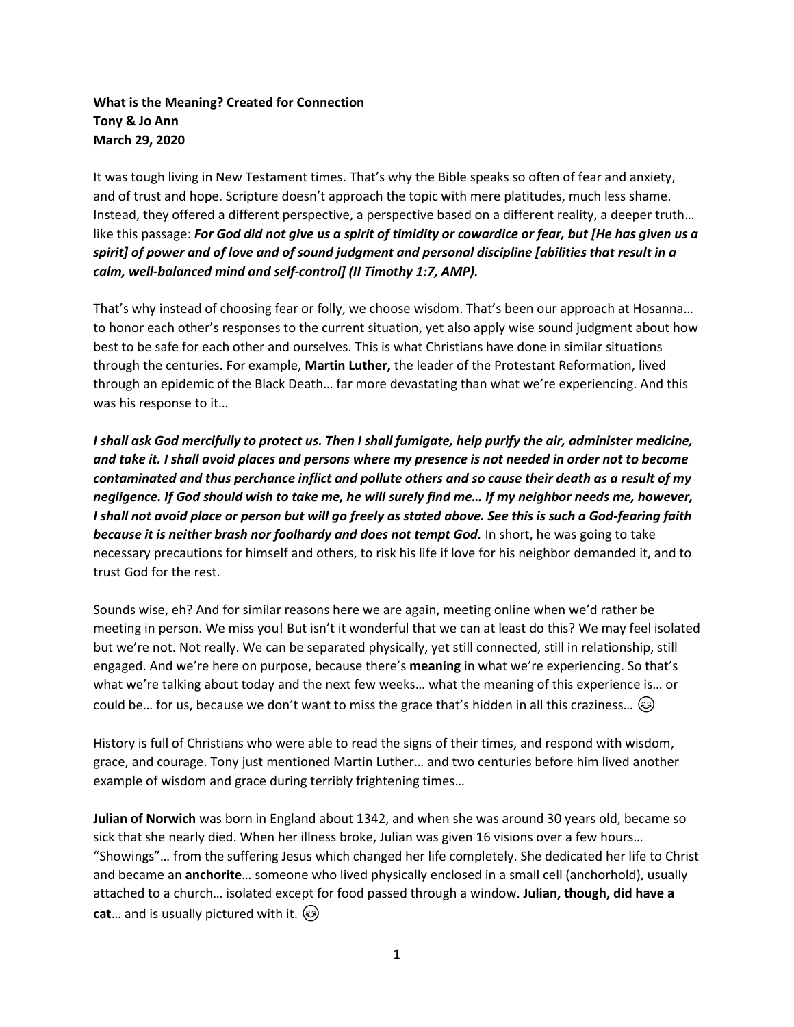# **What is the Meaning? Created for Connection Tony & Jo Ann March 29, 2020**

It was tough living in New Testament times. That's why the Bible speaks so often of fear and anxiety, and of trust and hope. Scripture doesn't approach the topic with mere platitudes, much less shame. Instead, they offered a different perspective, a perspective based on a different reality, a deeper truth… like this passage: *For God did not give us a spirit of timidity or cowardice or fear, but [He has given us a spirit] of power and of love and of sound judgment and personal discipline [abilities that result in a calm, well-balanced mind and self-control] (II Timothy 1:7, AMP).* 

That's why instead of choosing fear or folly, we choose wisdom. That's been our approach at Hosanna… to honor each other's responses to the current situation, yet also apply wise sound judgment about how best to be safe for each other and ourselves. This is what Christians have done in similar situations through the centuries. For example, **Martin Luther,** the leader of the Protestant Reformation, lived through an epidemic of the Black Death… far more devastating than what we're experiencing. And this was his response to it…

*I shall ask God mercifully to protect us. Then I shall fumigate, help purify the air, administer medicine, and take it. I shall avoid places and persons where my presence is not needed in order not to become contaminated and thus perchance inflict and pollute others and so cause their death as a result of my negligence. If God should wish to take me, he will surely find me… If my neighbor needs me, however, I shall not avoid place or person but will go freely as stated above. See this is such a God-fearing faith because it is neither brash nor foolhardy and does not tempt God.* In short, he was going to take necessary precautions for himself and others, to risk his life if love for his neighbor demanded it, and to trust God for the rest.

Sounds wise, eh? And for similar reasons here we are again, meeting online when we'd rather be meeting in person. We miss you! But isn't it wonderful that we can at least do this? We may feel isolated but we're not. Not really. We can be separated physically, yet still connected, still in relationship, still engaged. And we're here on purpose, because there's **meaning** in what we're experiencing. So that's what we're talking about today and the next few weeks… what the meaning of this experience is… or could be... for us, because we don't want to miss the grace that's hidden in all this craziness...  $\circledcirc$ 

History is full of Christians who were able to read the signs of their times, and respond with wisdom, grace, and courage. Tony just mentioned Martin Luther… and two centuries before him lived another example of wisdom and grace during terribly frightening times…

**Julian of Norwich** was born in England about 1342, and when she was around 30 years old, became so sick that she nearly died. When her illness broke, Julian was given 16 visions over a few hours… "Showings"… from the suffering Jesus which changed her life completely. She dedicated her life to Christ and became an **anchorite**… someone who lived physically enclosed in a small cell (anchorhold), usually attached to a church… isolated except for food passed through a window. **Julian, though, did have a cat**… and is usually pictured with it.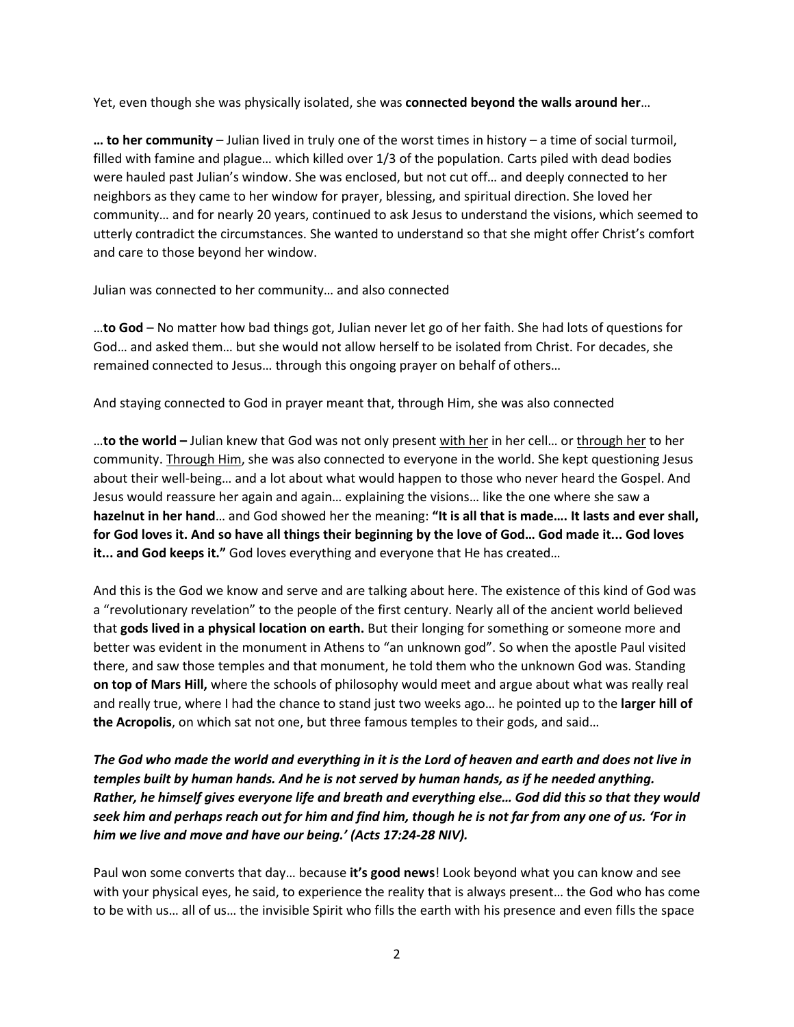Yet, even though she was physically isolated, she was **connected beyond the walls around her**…

**… to her community** – Julian lived in truly one of the worst times in history – a time of social turmoil, filled with famine and plague… which killed over 1/3 of the population. Carts piled with dead bodies were hauled past Julian's window. She was enclosed, but not cut off… and deeply connected to her neighbors as they came to her window for prayer, blessing, and spiritual direction. She loved her community… and for nearly 20 years, continued to ask Jesus to understand the visions, which seemed to utterly contradict the circumstances. She wanted to understand so that she might offer Christ's comfort and care to those beyond her window.

Julian was connected to her community… and also connected

…**to God** – No matter how bad things got, Julian never let go of her faith. She had lots of questions for God… and asked them… but she would not allow herself to be isolated from Christ. For decades, she remained connected to Jesus… through this ongoing prayer on behalf of others…

And staying connected to God in prayer meant that, through Him, she was also connected

…**to the world –** Julian knew that God was not only present with her in her cell… or through her to her community. Through Him, she was also connected to everyone in the world. She kept questioning Jesus about their well-being… and a lot about what would happen to those who never heard the Gospel. And Jesus would reassure her again and again… explaining the visions… like the one where she saw a **hazelnut in her hand**… and God showed her the meaning: **"It is all that is made…. It lasts and ever shall, for God loves it. And so have all things their beginning by the love of God… God made it... God loves it... and God keeps it."** God loves everything and everyone that He has created…

And this is the God we know and serve and are talking about here. The existence of this kind of God was a "revolutionary revelation" to the people of the first century. Nearly all of the ancient world believed that **gods lived in a physical location on earth.** But their longing for something or someone more and better was evident in the monument in Athens to "an unknown god". So when the apostle Paul visited there, and saw those temples and that monument, he told them who the unknown God was. Standing **on top of Mars Hill,** where the schools of philosophy would meet and argue about what was really real and really true, where I had the chance to stand just two weeks ago… he pointed up to the **larger hill of the Acropolis**, on which sat not one, but three famous temples to their gods, and said…

*The God who made the world and everything in it is the Lord of heaven and earth and does not live in temples built by human hands. And he is not served by human hands, as if he needed anything. Rather, he himself gives everyone life and breath and everything else… God did this so that they would seek him and perhaps reach out for him and find him, though he is not far from any one of us. 'For in him we live and move and have our being.' (Acts 17:24-28 NIV).*

Paul won some converts that day… because **it's good news**! Look beyond what you can know and see with your physical eyes, he said, to experience the reality that is always present… the God who has come to be with us… all of us… the invisible Spirit who fills the earth with his presence and even fills the space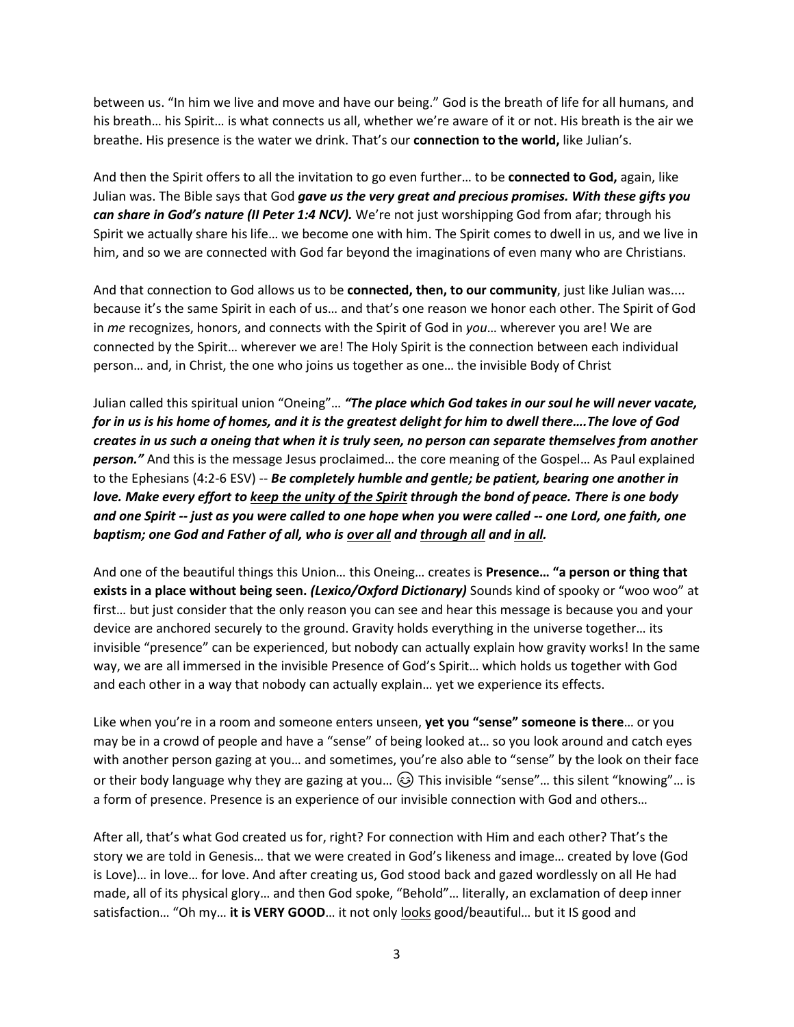between us. "In him we live and move and have our being." God is the breath of life for all humans, and his breath… his Spirit… is what connects us all, whether we're aware of it or not. His breath is the air we breathe. His presence is the water we drink. That's our **connection to the world,** like Julian's.

And then the Spirit offers to all the invitation to go even further… to be **connected to God,** again, like Julian was. The Bible says that God *gave us the very great and precious promises. With these gifts you can share in God's nature (II Peter 1:4 NCV).* We're not just worshipping God from afar; through his Spirit we actually share his life… we become one with him. The Spirit comes to dwell in us, and we live in him, and so we are connected with God far beyond the imaginations of even many who are Christians.

And that connection to God allows us to be **connected, then, to our community**, just like Julian was.... because it's the same Spirit in each of us… and that's one reason we honor each other. The Spirit of God in *me* recognizes, honors, and connects with the Spirit of God in *you*… wherever you are! We are connected by the Spirit… wherever we are! The Holy Spirit is the connection between each individual person… and, in Christ, the one who joins us together as one… the invisible Body of Christ

Julian called this spiritual union "Oneing"… *"The place which God takes in our soul he will never vacate, for in us is his home of homes, and it is the greatest delight for him to dwell there….The love of God creates in us such a oneing that when it is truly seen, no person can separate themselves from another person."* And this is the message Jesus proclaimed… the core meaning of the Gospel… As Paul explained to the Ephesians (4:2-6 ESV) -- *Be completely humble and gentle; be patient, bearing one another in love. Make every effort to keep the unity of the Spirit through the bond of peace. There is one body and one Spirit -- just as you were called to one hope when you were called -- one Lord, one faith, one baptism; one God and Father of all, who is over all and through all and in all.*

And one of the beautiful things this Union… this Oneing… creates is **Presence… "a person or thing that exists in a place without being seen.** *(Lexico/Oxford Dictionary)* Sounds kind of spooky or "woo woo" at first… but just consider that the only reason you can see and hear this message is because you and your device are anchored securely to the ground. Gravity holds everything in the universe together… its invisible "presence" can be experienced, but nobody can actually explain how gravity works! In the same way, we are all immersed in the invisible Presence of God's Spirit… which holds us together with God and each other in a way that nobody can actually explain… yet we experience its effects.

Like when you're in a room and someone enters unseen, **yet you "sense" someone is there**… or you may be in a crowd of people and have a "sense" of being looked at… so you look around and catch eyes with another person gazing at you… and sometimes, you're also able to "sense" by the look on their face or their body language why they are gazing at you...  $\circledS$  This invisible "sense"... this silent "knowing"... is a form of presence. Presence is an experience of our invisible connection with God and others…

After all, that's what God created us for, right? For connection with Him and each other? That's the story we are told in Genesis… that we were created in God's likeness and image… created by love (God is Love)… in love… for love. And after creating us, God stood back and gazed wordlessly on all He had made, all of its physical glory… and then God spoke, "Behold"… literally, an exclamation of deep inner satisfaction... "Oh my... it is VERY GOOD... it not only <u>looks</u> good/beautiful... but it IS good and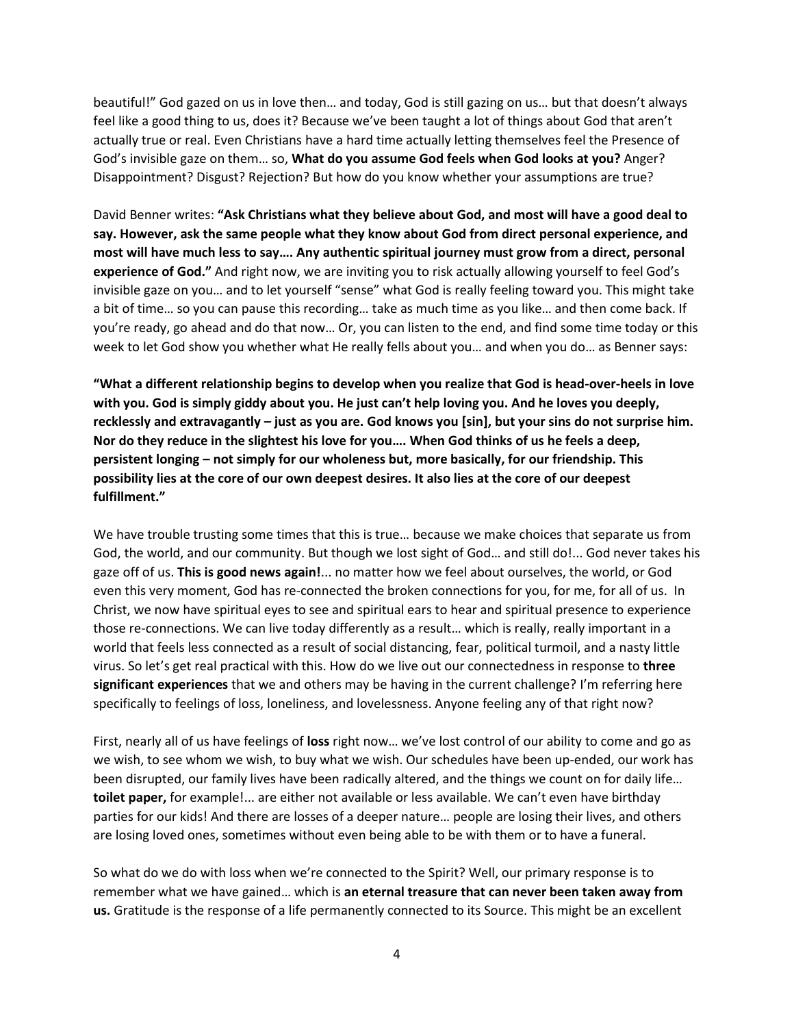beautiful!" God gazed on us in love then… and today, God is still gazing on us… but that doesn't always feel like a good thing to us, does it? Because we've been taught a lot of things about God that aren't actually true or real. Even Christians have a hard time actually letting themselves feel the Presence of God's invisible gaze on them… so, **What do you assume God feels when God looks at you?** Anger? Disappointment? Disgust? Rejection? But how do you know whether your assumptions are true?

David Benner writes: **"Ask Christians what they believe about God, and most will have a good deal to say. However, ask the same people what they know about God from direct personal experience, and most will have much less to say…. Any authentic spiritual journey must grow from a direct, personal experience of God."** And right now, we are inviting you to risk actually allowing yourself to feel God's invisible gaze on you… and to let yourself "sense" what God is really feeling toward you. This might take a bit of time… so you can pause this recording… take as much time as you like… and then come back. If you're ready, go ahead and do that now… Or, you can listen to the end, and find some time today or this week to let God show you whether what He really fells about you… and when you do… as Benner says:

**"What a different relationship begins to develop when you realize that God is head-over-heels in love with you. God is simply giddy about you. He just can't help loving you. And he loves you deeply, recklessly and extravagantly – just as you are. God knows you [sin], but your sins do not surprise him. Nor do they reduce in the slightest his love for you…. When God thinks of us he feels a deep, persistent longing – not simply for our wholeness but, more basically, for our friendship. This possibility lies at the core of our own deepest desires. It also lies at the core of our deepest fulfillment."**

We have trouble trusting some times that this is true… because we make choices that separate us from God, the world, and our community. But though we lost sight of God… and still do!... God never takes his gaze off of us. **This is good news again!**... no matter how we feel about ourselves, the world, or God even this very moment, God has re-connected the broken connections for you, for me, for all of us. In Christ, we now have spiritual eyes to see and spiritual ears to hear and spiritual presence to experience those re-connections. We can live today differently as a result… which is really, really important in a world that feels less connected as a result of social distancing, fear, political turmoil, and a nasty little virus. So let's get real practical with this. How do we live out our connectedness in response to **three significant experiences** that we and others may be having in the current challenge? I'm referring here specifically to feelings of loss, loneliness, and lovelessness. Anyone feeling any of that right now?

First, nearly all of us have feelings of **loss** right now… we've lost control of our ability to come and go as we wish, to see whom we wish, to buy what we wish. Our schedules have been up-ended, our work has been disrupted, our family lives have been radically altered, and the things we count on for daily life… **toilet paper,** for example!... are either not available or less available. We can't even have birthday parties for our kids! And there are losses of a deeper nature… people are losing their lives, and others are losing loved ones, sometimes without even being able to be with them or to have a funeral.

So what do we do with loss when we're connected to the Spirit? Well, our primary response is to remember what we have gained… which is **an eternal treasure that can never been taken away from us.** Gratitude is the response of a life permanently connected to its Source. This might be an excellent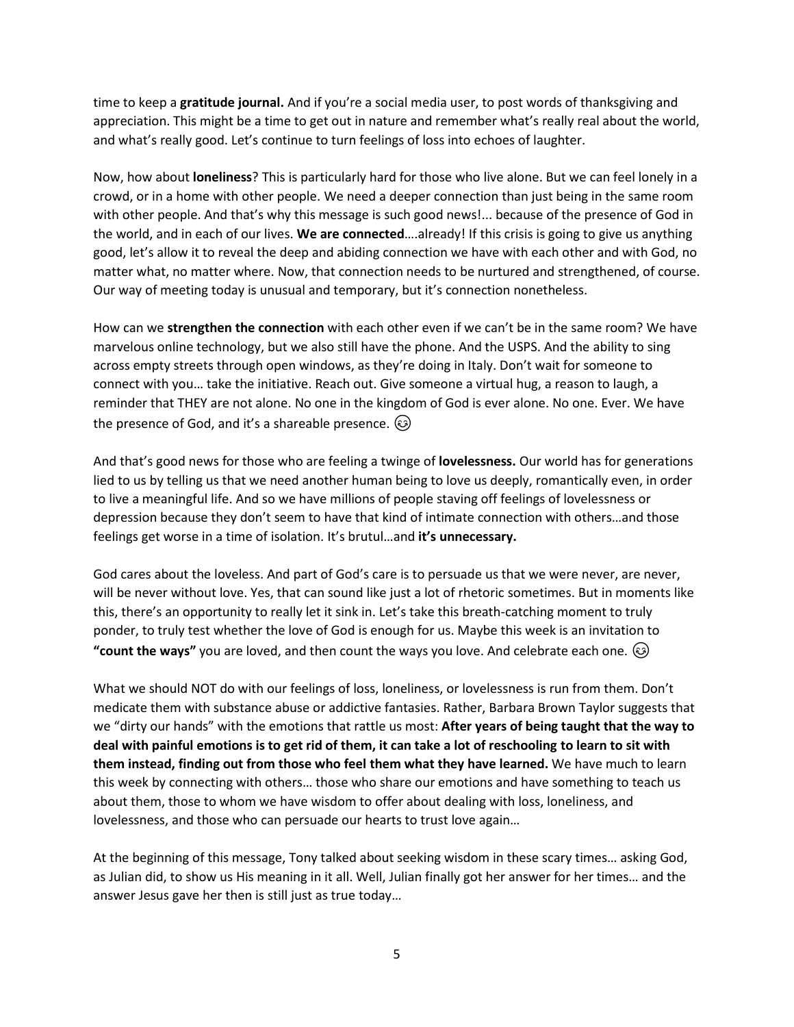time to keep a **gratitude journal.** And if you're a social media user, to post words of thanksgiving and appreciation. This might be a time to get out in nature and remember what's really real about the world, and what's really good. Let's continue to turn feelings of loss into echoes of laughter.

Now, how about **loneliness**? This is particularly hard for those who live alone. But we can feel lonely in a crowd, or in a home with other people. We need a deeper connection than just being in the same room with other people. And that's why this message is such good news!... because of the presence of God in the world, and in each of our lives. **We are connected**….already! If this crisis is going to give us anything good, let's allow it to reveal the deep and abiding connection we have with each other and with God, no matter what, no matter where. Now, that connection needs to be nurtured and strengthened, of course. Our way of meeting today is unusual and temporary, but it's connection nonetheless.

How can we **strengthen the connection** with each other even if we can't be in the same room? We have marvelous online technology, but we also still have the phone. And the USPS. And the ability to sing across empty streets through open windows, as they're doing in Italy. Don't wait for someone to connect with you… take the initiative. Reach out. Give someone a virtual hug, a reason to laugh, a reminder that THEY are not alone. No one in the kingdom of God is ever alone. No one. Ever. We have the presence of God, and it's a shareable presence.  $\odot$ 

And that's good news for those who are feeling a twinge of **lovelessness.** Our world has for generations lied to us by telling us that we need another human being to love us deeply, romantically even, in order to live a meaningful life. And so we have millions of people staving off feelings of lovelessness or depression because they don't seem to have that kind of intimate connection with others…and those feelings get worse in a time of isolation. It's brutul…and **it's unnecessary.** 

God cares about the loveless. And part of God's care is to persuade us that we were never, are never, will be never without love. Yes, that can sound like just a lot of rhetoric sometimes. But in moments like this, there's an opportunity to really let it sink in. Let's take this breath-catching moment to truly ponder, to truly test whether the love of God is enough for us. Maybe this week is an invitation to **"count the ways"** you are loved, and then count the ways you love. And celebrate each one.

What we should NOT do with our feelings of loss, loneliness, or lovelessness is run from them. Don't medicate them with substance abuse or addictive fantasies. Rather, Barbara Brown Taylor suggests that we "dirty our hands" with the emotions that rattle us most: **After years of being taught that the way to deal with painful emotions is to get rid of them, it can take a lot of reschooling to learn to sit with them instead, finding out from those who feel them what they have learned.** We have much to learn this week by connecting with others… those who share our emotions and have something to teach us about them, those to whom we have wisdom to offer about dealing with loss, loneliness, and lovelessness, and those who can persuade our hearts to trust love again…

At the beginning of this message, Tony talked about seeking wisdom in these scary times… asking God, as Julian did, to show us His meaning in it all. Well, Julian finally got her answer for her times… and the answer Jesus gave her then is still just as true today…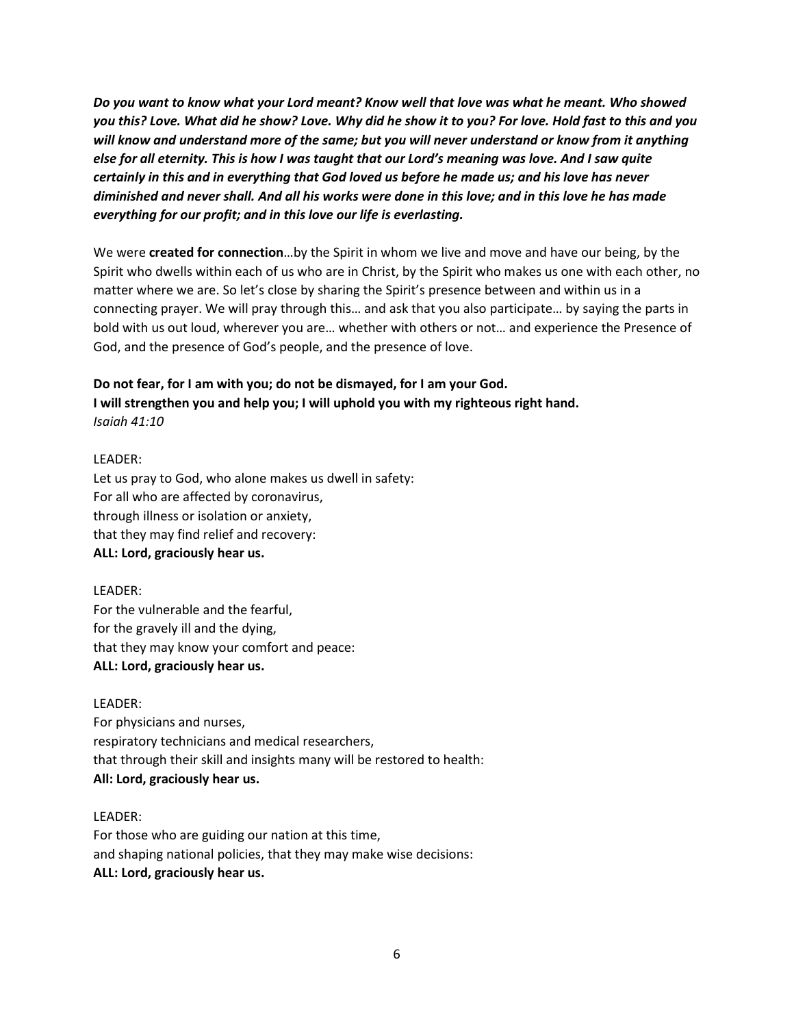*Do you want to know what your Lord meant? Know well that love was what he meant. Who showed you this? Love. What did he show? Love. Why did he show it to you? For love. Hold fast to this and you will know and understand more of the same; but you will never understand or know from it anything else for all eternity. This is how I was taught that our Lord's meaning was love. And I saw quite certainly in this and in everything that God loved us before he made us; and his love has never diminished and never shall. And all his works were done in this love; and in this love he has made everything for our profit; and in this love our life is everlasting.*

We were **created for connection**…by the Spirit in whom we live and move and have our being, by the Spirit who dwells within each of us who are in Christ, by the Spirit who makes us one with each other, no matter where we are. So let's close by sharing the Spirit's presence between and within us in a connecting prayer. We will pray through this… and ask that you also participate… by saying the parts in bold with us out loud, wherever you are… whether with others or not… and experience the Presence of God, and the presence of God's people, and the presence of love.

# **Do not fear, for I am with you; do not be dismayed, for I am your God. I will strengthen you and help you; I will uphold you with my righteous right hand.** *Isaiah 41:10*

### LEADER:

Let us pray to God, who alone makes us dwell in safety: For all who are affected by coronavirus, through illness or isolation or anxiety, that they may find relief and recovery: **ALL: Lord, graciously hear us.**

# LEADER:

For the vulnerable and the fearful, for the gravely ill and the dying, that they may know your comfort and peace: **ALL: Lord, graciously hear us.**

### LEADER:

For physicians and nurses, respiratory technicians and medical researchers, that through their skill and insights many will be restored to health: **All: Lord, graciously hear us.**

# LEADER:

For those who are guiding our nation at this time, and shaping national policies, that they may make wise decisions: **ALL: Lord, graciously hear us.**